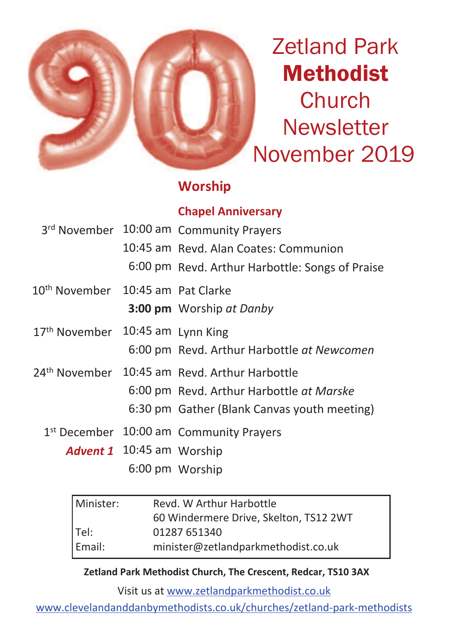

Zetland Park Methodist **Church Newsletter** November 2019

## **Worship**

### **Chapel Anniversary**

|                                               |                                  | 3rd November 10:00 am Community Prayers                   |  |
|-----------------------------------------------|----------------------------------|-----------------------------------------------------------|--|
|                                               |                                  | 10:45 am Revd. Alan Coates: Communion                     |  |
|                                               |                                  | 6:00 pm Revd. Arthur Harbottle: Songs of Praise           |  |
| 10 <sup>th</sup> November 10:45 am Pat Clarke |                                  |                                                           |  |
|                                               |                                  | 3:00 pm Worship at Danby                                  |  |
| 17th November 10:45 am Lynn King              |                                  |                                                           |  |
|                                               |                                  | 6:00 pm Revd. Arthur Harbottle at Newcomen                |  |
|                                               |                                  | 24 <sup>th</sup> November 10:45 am Revd. Arthur Harbottle |  |
|                                               |                                  | 6:00 pm Revd. Arthur Harbottle at Marske                  |  |
|                                               |                                  | 6:30 pm Gather (Blank Canvas youth meeting)               |  |
|                                               |                                  | 1 <sup>st</sup> December 10:00 am Community Prayers       |  |
|                                               | <b>Advent 1</b> 10:45 am Worship |                                                           |  |
|                                               |                                  | 6:00 pm Worship                                           |  |

| Minister: | Revd. W Arthur Harbottle               |  |
|-----------|----------------------------------------|--|
|           | 60 Windermere Drive, Skelton, TS12 2WT |  |
| $ $ Tel:  | 01287 651340                           |  |
| Email:    | minister@zetlandparkmethodist.co.uk    |  |

**Zetland Park Methodist Church, The Crescent, Redcar, TS10 3AX**

Visit us at www.zetlandparkmethodist.co.uk

www.clevelandanddanbymethodists.co.uk/churches/zetland-park-methodists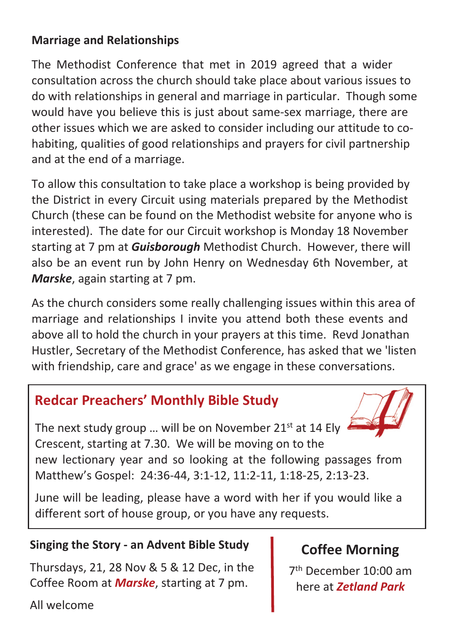### **Marriage and Relationships**

The Methodist Conference that met in 2019 agreed that a wider consultation across the church should take place about various issues to do with relationships in general and marriage in particular. Though some would have you believe this is just about same-sex marriage, there are other issues which we are asked to consider including our attitude to cohabiting, qualities of good relationships and prayers for civil partnership and at the end of a marriage.

To allow this consultation to take place a workshop is being provided by the District in every Circuit using materials prepared by the Methodist Church (these can be found on the Methodist website for anyone who is interested). The date for our Circuit workshop is Monday 18 November starting at 7 pm at *Guisborough* Methodist Church. However, there will also be an event run by John Henry on Wednesday 6th November, at *Marske*, again starting at 7 pm.

As the church considers some really challenging issues within this area of marriage and relationships I invite you attend both these events and above all to hold the church in your prayers at this time. Revd Jonathan Hustler, Secretary of the Methodist Conference, has asked that we 'listen with friendship, care and grace' as we engage in these conversations.

# **Redcar Preachers' Monthly Bible Study**

The next study group ... will be on November 21<sup>st</sup> at 14 Ely Crescent, starting at 7.30. We will be moving on to the new lectionary year and so looking at the following passages from Matthew's Gospel: 24:36-44, 3:1-12, 11:2-11, 1:18-25, 2:13-23.

June will be leading, please have a word with her if you would like a different sort of house group, or you have any requests.

## **Singing the Story - an Advent Bible Study**

Thursdays, 21, 28 Nov & 5 & 12 Dec, in the Coffee Room at *Marske*, starting at 7 pm.

All welcome

# **Coffee Morning**

7 th December 10:00 am here at *Zetland Park*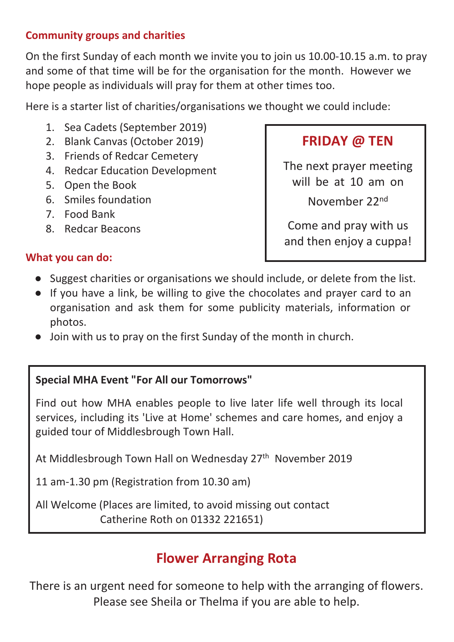#### **Community groups and charities**

On the first Sunday of each month we invite you to join us 10.00-10.15 a.m. to pray and some of that time will be for the organisation for the month. However we hope people as individuals will pray for them at other times too.

Here is a starter list of charities/organisations we thought we could include:

- 1. Sea Cadets (September 2019)
- 2. Blank Canvas (October 2019)
- 3. Friends of Redcar Cemetery
- 4. Redcar Education Development
- 5. Open the Book
- 6. Smiles foundation
- 7. Food Bank

**What you can do:**

8. Redcar Beacons

# **FRIDAY @ TEN**

The next prayer meeting will be at 10 am on

November 22nd

Come and pray with us and then enjoy a cuppa!

- Suggest charities or organisations we should include, or delete from the list.
- If you have a link, be willing to give the chocolates and prayer card to an organisation and ask them for some publicity materials, information or photos.
- Join with us to pray on the first Sunday of the month in church.

### **Special MHA Event "For All our Tomorrows"**

Find out how MHA enables people to live later life well through its local services, including its 'Live at Home' schemes and care homes, and enjoy a guided tour of Middlesbrough Town Hall.

At Middlesbrough Town Hall on Wednesday 27<sup>th</sup> November 2019

11 am-1.30 pm (Registration from 10.30 am)

All Welcome (Places are limited, to avoid missing out contact Catherine Roth on 01332 221651)

## **Flower Arranging Rota**

There is an urgent need for someone to help with the arranging of flowers. Please see Sheila or Thelma if you are able to help.